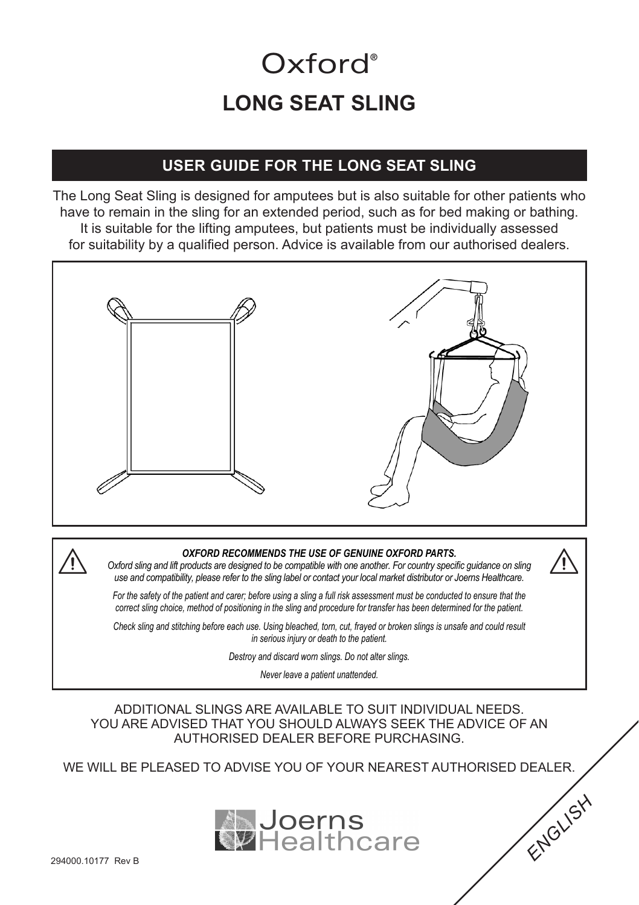# **LONG SEAT SLING** Oxford<sup>®</sup>

#### **USER GUIDE FOR THE LONG SEAT SLING**

The Long Seat Sling is designed for amputees but is also suitable for other patients who have to remain in the sling for an extended period, such as for bed making or bathing. It is suitable for the lifting amputees, but patients must be individually assessed for suitability by a qualified person. Advice is available from our authorised dealers.



#### *OXFORD RECOMMENDS THE USE OF GENUINE OXFORD PARTS.*

*Oxford sling and lift products are designed to be compatible with one another. For country specific guidance on sling use and compatibility, please refer to the sling label or contact your local market distributor or Joerns Healthcare.*

*For the safety of the patient and carer; before using a sling a full risk assessment must be conducted to ensure that the correct sling choice, method of positioning in the sling and procedure for transfer has been determined for the patient.*

*Check sling and stitching before each use. Using bleached, torn, cut, frayed or broken slings is unsafe and could result in serious injury or death to the patient.*

*Destroy and discard worn slings. Do not alter slings.*

*Never leave a patient unattended.*

ADDITIONAL SLINGS ARE AVAILABLE TO SUIT INDIVIDUAL NEEDS. YOU ARE ADVISED THAT YOU SHOULD ALWAYS SEEK THE ADVICE OF AN AUTHORISED DEALER BEFORE PURCHASING.

WE WILL BE PLEASED TO ADVISE YOU OF YOUR NEAREST AUTHORISED DEALER.



*ENGLISH*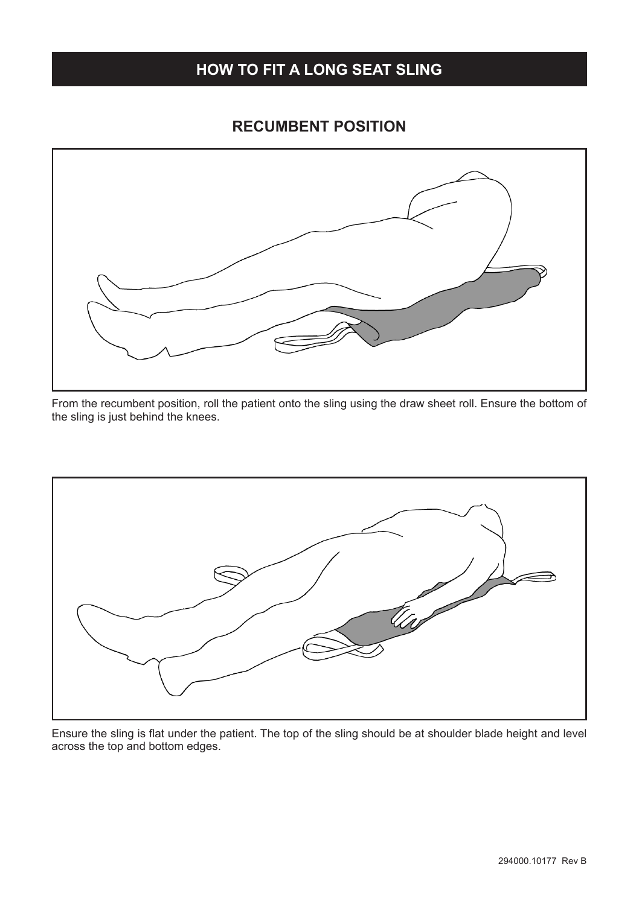#### **HOW TO FIT A LONG SEAT SLING**

#### **RECUMBENT POSITION**



From the recumbent position, roll the patient onto the sling using the draw sheet roll. Ensure the bottom of the sling is just behind the knees.



Ensure the sling is flat under the patient. The top of the sling should be at shoulder blade height and level across the top and bottom edges.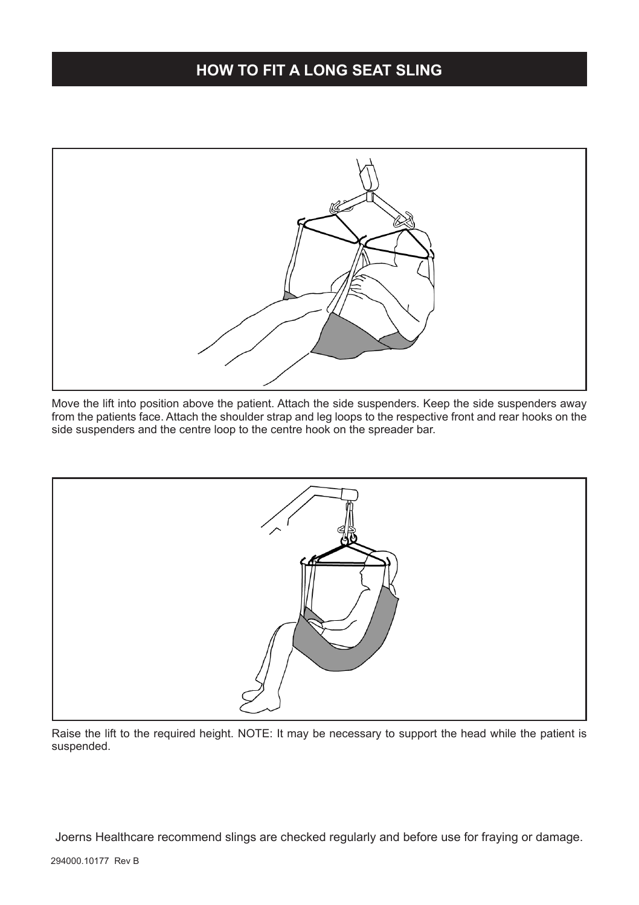#### **HOW TO FIT A LONG SEAT SLING**



Move the lift into position above the patient. Attach the side suspenders. Keep the side suspenders away from the patients face. Attach the shoulder strap and leg loops to the respective front and rear hooks on the side suspenders and the centre loop to the centre hook on the spreader bar.



Raise the lift to the required height. NOTE: It may be necessary to support the head while the patient is suspended.

Joerns Healthcare recommend slings are checked regularly and before use for fraying or damage.